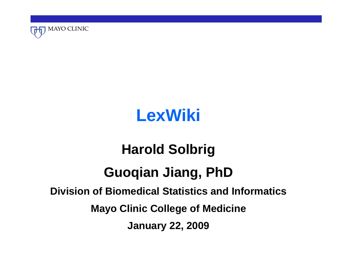

# **LexWiki**

# **Harold Solbrig Guoqian Jiang, PhD Division of Biomedical Statistics and InformaticsMayo Clinic College of Medicine January 22, 2009**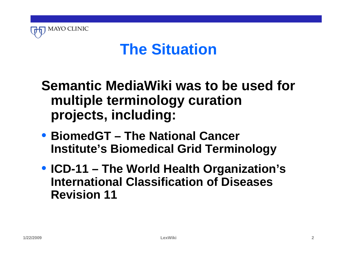

# **The Situation**

### **Semantic MediaWiki was to be used for multiple terminology curation projects, including:**

- **BiomedGT The National Cancer Institute's Biomedical Grid Terminology**
- **ICD-11 The World Health Organization's International Classification of Diseases Revision 11**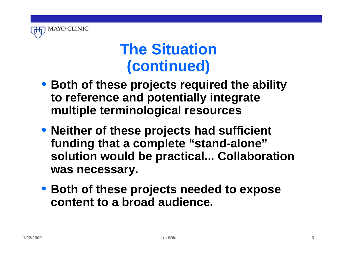

# **The Situation (continued)**

- **Both of these projects required the ability to reference and potentially integrate multiple terminological resources**
- **Neither of these projects had sufficient funding that a complete "stand-alone" solution would be practical... Collaboration was necessary.**
- **Both of these projects needed to expose content to a broad audience.**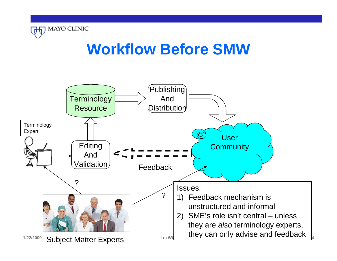

# **Workflow Before SMW**

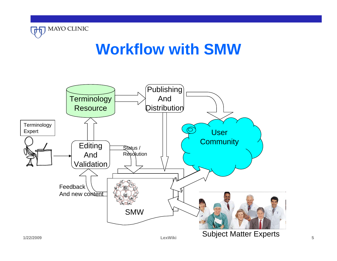

# **Workflow with SMW**

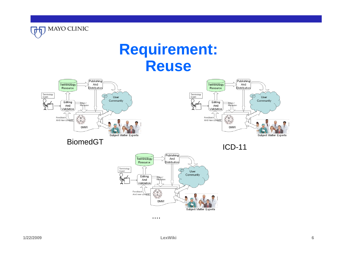

# **Requirement: Reuse**





BiomedGT





....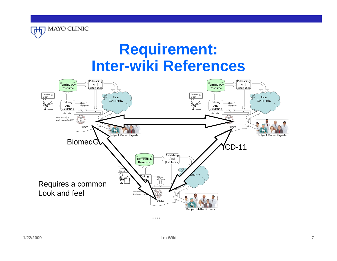

# **Requirement: Inter-wiki References**

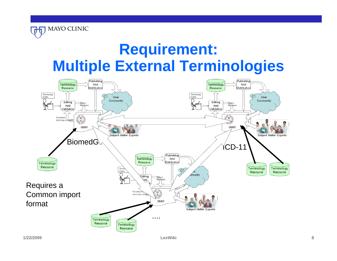# **Requirement: Multiple External Terminologies**



**MAYO CLINIC**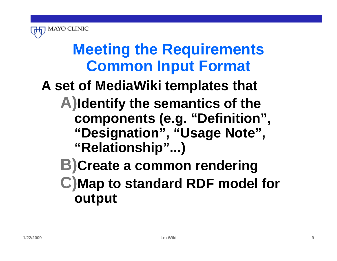

# **Meeting the Requirements Common Input Format**

# **A set of MediaWiki templates that**

- **A) Identify the semantics of the components (e.g. "Definition", "Designation", "Usage Note", "Relationship"...)**
	- **B)Create a common rendering C) Map to standard RDF model for output**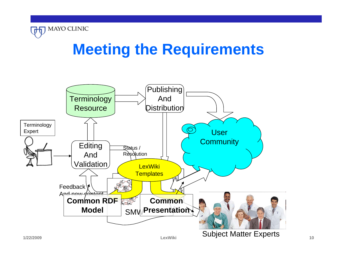

# **Meeting the Requirements**

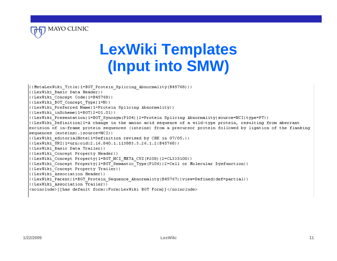

# **LexWiki Templates (Input into SMW)**

({MetaLexWiki Title|1=BGT Protein Splicing Abnormality(B45768)}} ({LexWiki Basic Data Header}} ((LexWiki Concept Code|1=B45768)) ({LexWiki BGT Concept Type|1=N}} ((LexWiki Preferred Name|1=Protein Splicing Abnormality))  $($ {LexWiki inScheme|1=BGT|2=01.01}} ((LexWiki Presentation | 1=BGT Synonym (P104) | 2=Protein Splicing Abnormality | source=NCI | type=PT } }  $\left\{\right.$  (LexWiki Definition|1=A change in the amino acid sequence of a wild-type protein, resulting from aberrant excision of in-frame protein sequences (inteins) from a precursor protein followed by ligation of the flanking |sequences (exteins).|source=NCI}} ({LexWiki editorialNote|1=Definition revised by CHK in 07/05.}} ((LexWiki URI|1=urn:oid:2.16.840.1.113883.3.26.1.2:B45768)) ({LexWiki Basic Data Trailer}} ({LexWiki Concept Property Header}} ((LexWiki Concept Property|1=BGT NCI META CUI(P208)|2=CL335100}} ({LexWiki Concept Property|1=BGT Semantic Type(P106)|2=Cell or Molecular Dysfunction}} ({LexWiki Concept Property Trailer}} ({LexWiki Association Header}} ((LexWiki Parent|1=BGT Protein Sequence Abnormality(B45767)|view=Defined|def=partial}}| ((LexWiki Association Trailer)) <noinclude>[[has default form::Form:LexWiki BGT Form]]</noinclude>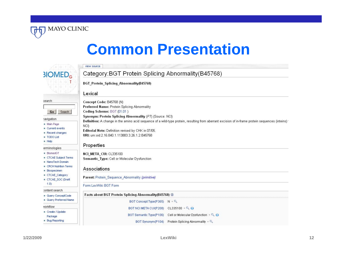

|                                                                                                         | view source                                                                                                                                                                                                                                                                                                                                                                                                                              |  |  |  |  |
|---------------------------------------------------------------------------------------------------------|------------------------------------------------------------------------------------------------------------------------------------------------------------------------------------------------------------------------------------------------------------------------------------------------------------------------------------------------------------------------------------------------------------------------------------------|--|--|--|--|
| <b>3IOMED<sub>G</sub></b>                                                                               | Category: BGT Protein Splicing Abnormality (B45768)                                                                                                                                                                                                                                                                                                                                                                                      |  |  |  |  |
|                                                                                                         | <b>BGT Protein Splicing Abnormality(B45768)</b>                                                                                                                                                                                                                                                                                                                                                                                          |  |  |  |  |
|                                                                                                         | Lexical                                                                                                                                                                                                                                                                                                                                                                                                                                  |  |  |  |  |
| search<br>Search<br>Go                                                                                  | Concept Code: B45768 (N)<br>Preferred Name: Protein Splicing Abnormality<br>Coding Scheme: BGT (01.01)<br>Synonym: Protein Splicing Abnormality (P7) (Source: NCI)<br>Definition: A change in the amino acid sequence of a wild-type protein, resulting from aberrant excision of in-frame protein sequences (inteins)<br>NCI)<br>Editorial Note: Definition revised by CHK in 07/05.<br>URI: um: oid: 2.16.840.1.113883.3.26.1.2:B45768 |  |  |  |  |
| <b>navigation</b><br>■ Main Page<br>■ Current events<br>Recent changes<br>■ TODO List<br><b>E</b> Help  |                                                                                                                                                                                                                                                                                                                                                                                                                                          |  |  |  |  |
| erminologies                                                                                            | Properties                                                                                                                                                                                                                                                                                                                                                                                                                               |  |  |  |  |
| <b>BiomedGT</b><br>CTCAE Subject Terms<br>NanoTech Domain<br>CRCH Nutrition Terms<br><b>Biospecimen</b> | NCI META CUI: CL335100<br>Semantic_Type: Cell or Molecular Dysfunction<br>Associations                                                                                                                                                                                                                                                                                                                                                   |  |  |  |  |
| CTCAE_Category<br>CTCAE SOC (Draft                                                                      | Parent: Protein Sequence Abnormality (primitive)                                                                                                                                                                                                                                                                                                                                                                                         |  |  |  |  |
| 1.0                                                                                                     | Form:LexWiki BGT Form                                                                                                                                                                                                                                                                                                                                                                                                                    |  |  |  |  |
| content search<br>Query ConceptCode                                                                     | Facts about BGT Protein Splicing Abnormality(B45768) <b>D</b>                                                                                                                                                                                                                                                                                                                                                                            |  |  |  |  |
| Query Preferred Name                                                                                    | BGT Concept Type(P365)<br>$N + Q$                                                                                                                                                                                                                                                                                                                                                                                                        |  |  |  |  |
| vorkflow                                                                                                | BGT NCI META CUI(P208) CL335100 + Q @                                                                                                                                                                                                                                                                                                                                                                                                    |  |  |  |  |
| Create / Update<br>Package                                                                              | BGT Semantic Type(P106) Cell or Molecular Dysfunction +                                                                                                                                                                                                                                                                                                                                                                                  |  |  |  |  |
| <b>Bug Reporting</b>                                                                                    | Protein Splicing Abnormality +<br>BGT Synonym (P104)                                                                                                                                                                                                                                                                                                                                                                                     |  |  |  |  |

MAYO CLINIC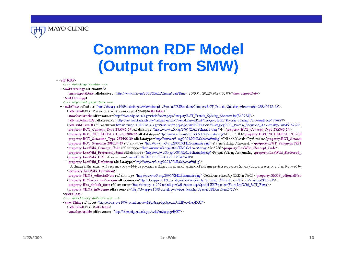

# **Common RDF Model (Output from SMW)**

#### $-$  <rdf:RDF >

- $\langle$ -- Ontology header -->
- < owl: Ontology rdf: about="">

<smw:exportDate rdf:datatype="http://www.w3.org/2001/XMLSchema#dateTime">2009-01-20T20:30:39-05:00</smw:exportDate> </owl:Ontology>

- $\langle$  /-- exported page data -->
- <owl: Class rdf: about="http://cbvapp-s1009.nci.nih.gov/wiki/index.php/Special:URIResolver/Category:BGT\_Protein\_Splicing\_Abnormality-28B45768-29"> <rdfs:label>BGT Protein Splicing Abnormality(B45768)</rdfs:label>

<smw:hasArticle rdf:resource="http://biomedgt.nci.nih.gov/wiki/index.php/Category:BGT\_Protein\_Splicing\_Abnormality(B45768)"/>

<rdfs:isDefinedByrdf:resource="http://biomedgt.nci.nih.gov/wiki/index.php/Special:ExportRDF/Category:BGT Protein Splicing Abnormality(B45768)"/> <rdfs:subClassOfrdf:resource="http://cbvapp-s1009.nci.nih.gov/wiki/index.php/Special:URIResolver/Category:BGT Protein Sequence Abnormality-28B45767-29"/ <property:BGT\_Concept\_Type-28P365-29 rdf:datatype="http://www.w3.org/2001/XMLSchema#string">N</property:BGT\_Concept\_Type-28P365-29> <property:BGT\_NCI\_META\_CUI-28P208-29 rdf:datatype="http://www.w3.org/2001/XMLSchema#string">CL335100</property:BGT\_NCI\_META\_CUI-28I <property:BGT\_Semantic\_Type-28P106-29 rdf:datatype="http://www.w3.org/2001/XMLSchema#string">Cell or Molecular Dysfunction</property:BGT\_Semant <property:BGT Synonym-28P104-29 rdf:datatype="http://www.w3.org/2001/XMLSchema#string">Protein Splicing Abnormality</property:BGT Synonym-28P1 <property:LexWiki\_Concept\_Code\_rdf:datatype="http://www.w3.org/2001/XMLSchema#string">B45768</property:LexWiki\_Concept\_Code> . Sproperty:LexWiki Preferred Name rdf:datatype="http://www.w3.org/2001/XMLSchema#string">Protein Splicing Abnormality</property:LexWiki Preferred <property:LexWiki URI rdf:resource="urn:oid:2.16.840.1.113883.3.26.1.2:B45768"/>

- <property:LexWiki Definition rdf:datatype="http://www.w3.org/2001/XMLSchema#string">

A change in the amino acid sequence of a wild-type protein, resulting from aberrant excision of in-frame protein sequences (inteins) from a precursor protein followed by </property:LexWiki Definition>

<property: SKOS editorialNote rdf: datatype="http://www.w3.org/2001/XMLSchema#string">Definition revised by CHK in 07/05.</property: SKOS editorialNote <property:DCTerms\_hasVersion rdf:resource="http://cbvapp-s1009.nci.nih.gov/wiki/index.php/Special:URIResolver/BGT-2FVersions-2F01.01"/>

<property:Has default form rdf:resource="http://cbvapp-s1009.nci.nih.gov/wiki/index.php/Special:URIResolver/Form.LexWiki BGT Form"/>

<property:SKOS\_inScheme\_rdf:resource="http://cbvapp-s1009.nci.nih.gov/wiki/index.php/Special:URIResolver/BGT"/>

 $\leq$  owl: Class

</-- auxilliary definitions -->

- <smw:Thing rdf: about="http://cbvapp-s1009.nci.nih.gov/wiki/index.php/Special:URIResolver/BGT"> <rdfs:label>BGT</rdfs:label>

<smw:hasArticle rdf:resource="http://biomedgt.nci.nih.gov/wiki/index.php/BGT"/>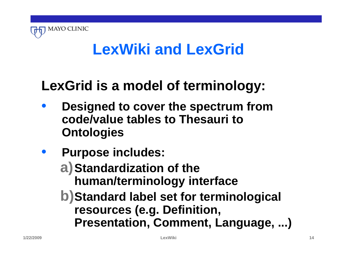

# **LexWiki and LexGrid**

# **LexGrid is a model of terminology:**

- **Designed to cover the spectrum from code/value tables to Thesauri to Ontologies**
- **Purpose includes:**
	- **a)Standardization of the human/terminology interface**
	- **b)Standard label set for terminological resources (e.g. Definition, Presentation, Comment, Language, ...)**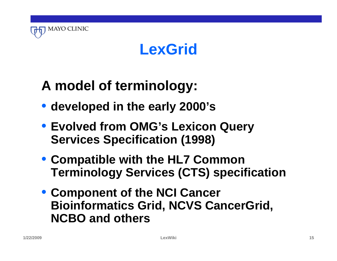

# **LexGrid**

# **A model of terminology:**

- **developed in the early 2000's**
- **Evolved from OMG's Lexicon Query Services Specification (1998)**
- **Compatible with the HL7 Common Terminology Services (CTS) specification**
- **Component of the NCI Cancer Bioinformatics Grid, NCVS CancerGrid, NCBO and others**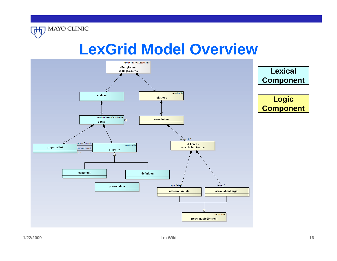



**THE MAYO CLINIC**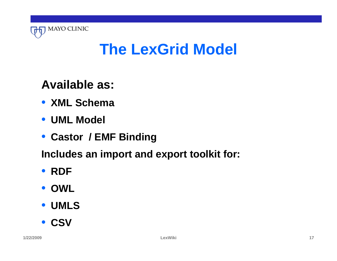

# **The LexGrid Model**

#### **Available as:**

- **XML Schema**
- **UML Model**
- **Castor / EMF Binding**

**Includes an import and export toolkit for:**

#### • **RDF**

• **OWL**

#### • **UMLS**

• **CSV**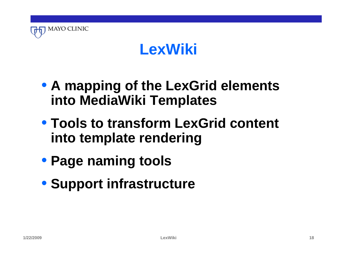

# **LexWiki**

- **A mapping of the LexGrid elements into MediaWiki Templates**
- **Tools to transform LexGrid content into template rendering**
- **Page naming tools**
- **Support infrastructure**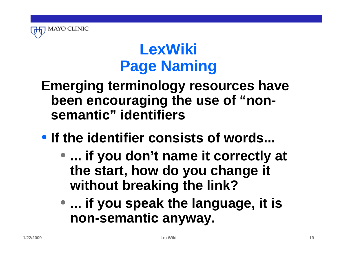

# **LexWiki Page Naming**

#### **Emerging terminology resources have been encouraging the use of "nonsemantic" identifiers**

# • **If the identifier consists of words...**

- **... if you don't name it correctly at the start, how do you change it without breaking the link?**
- **... if you speak the language, it is non-semantic anyway.**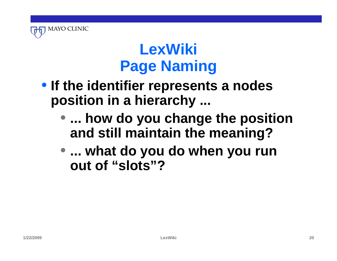

# **LexWiki Page Naming**

- **If the identifier represents a nodes position in a hierarchy ...**
	- **... how do you change the position and still maintain the meaning?**
	- **... what do you do when you run out of "slots"?**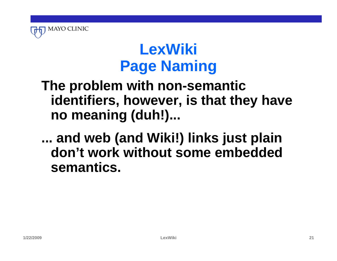

# **LexWiki Page Naming**

#### **The problem with non-semantic identifiers, however, is that they have no meaning (duh!)...**

#### **... and web (and Wiki!) links just plain don't work without some embedded semantics.**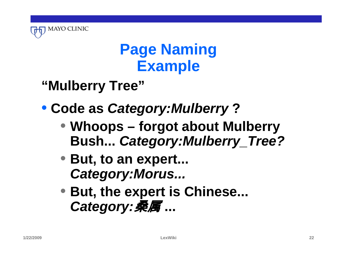

# **Page Naming Example**

# **"Mulberry Tree"**

# • **Code as** *Category:Mulberry* **?**

- **Whoops forgot about Mulberry Bush...** *Category:Mulberry\_Tree?*
- **But, to an expert...**  *Category:Morus...*
- **But, the expert is Chinese...**  *Category:*桑属 **...**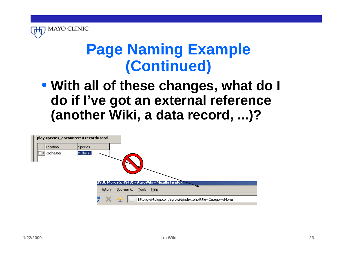

# **Page Naming Example (Continued)**

#### • **With all of these changes, what do I do if I've got an external reference (another Wiki, a data record, ...)?**

| play.species_encounter: 0 records total |                                                                  |  |
|-----------------------------------------|------------------------------------------------------------------|--|
| <b>Species</b><br>Location              |                                                                  |  |
| Mulberry<br>* Rochester                 |                                                                  |  |
|                                         |                                                                  |  |
|                                         |                                                                  |  |
|                                         |                                                                  |  |
|                                         | UYUL Morus(c 4948) - AgroWiki - Mozilla Firefox                  |  |
|                                         |                                                                  |  |
|                                         | Bookmarks<br>Tools Help<br>History                               |  |
|                                         | http://wiktolog.com/agrowiki/index.php?title=Category:Morus<br>⋒ |  |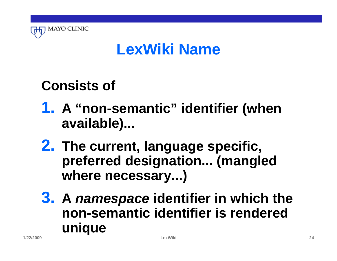

### **Consists of**

- **1. A "non-semantic" identifier (when available)...**
- **2. The current, language specific, preferred designation... (mangled where necessary...)**
- **3. A** *namespace* **identifier in which the non-semantic identifier is rendered unique**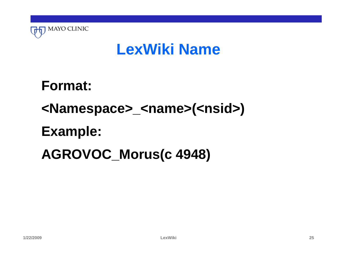

**Format: <Namespace>\_<name>(<nsid>) Example: AGROVOC\_Morus(c 4948)**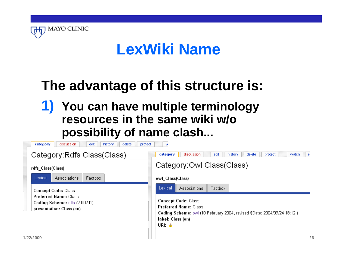

# **The advantage of this structure is:**

#### **1) You can have multiple terminology resources in the same wiki w/o possibility of name clash...**

| edit<br>delete<br>discussion<br>history<br>protect<br>category<br>w |                                                               |                                                                                                          |  |
|---------------------------------------------------------------------|---------------------------------------------------------------|----------------------------------------------------------------------------------------------------------|--|
|                                                                     | Category: Rdfs Class (Class)                                  | edit<br>discussion<br>history<br>delete<br>protect<br>watch<br>category<br>- re                          |  |
|                                                                     | rdfs Class(Class)                                             | Category: Owl Class (Class)                                                                              |  |
|                                                                     | Lexical<br>Factbox<br><b>Associations</b>                     | owl Class(Class)                                                                                         |  |
|                                                                     | <b>Concept Code: Class</b>                                    | Lexical<br>Factbox<br><b>Associations</b>                                                                |  |
|                                                                     | <b>Preferred Name: Class</b><br>Coding Scheme: rdfs (2001/01) | <b>Concept Code: Class</b>                                                                               |  |
|                                                                     | presentation: Class (en)                                      | <b>Preferred Name: Class</b><br>Coding Scheme: owl (10 February 2004, revised \$Date: 2004/09/24 18:12:) |  |
|                                                                     |                                                               | label: Class (en)<br>URI: A                                                                              |  |
|                                                                     |                                                               |                                                                                                          |  |
|                                                                     | 1/22/2009                                                     | 26                                                                                                       |  |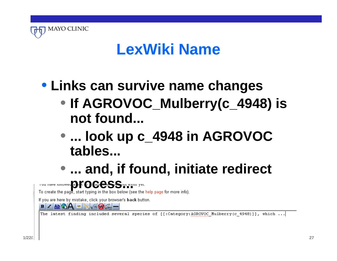

# • **Links can survive name changes**

- **If AGROVOC\_Mulberry(c\_4948) is not found...**
- **... look up c\_4948 in AGROVOC tables...**
- **... and, if found, initiate redirect**

**provided** in the page, start typing in the box below (see the help page for more info).

If you are here by mistake, click your browser's back button.

The latest finding included several species of [[:Category:AGROVOC Mulberry(c 4948)]], which ...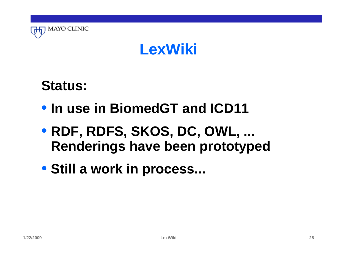

### **LexWiki**

### **Status:**

- **In use in BiomedGT and ICD11**
- **RDF, RDFS, SKOS, DC, OWL, ... Renderings have been prototyped**
- **Still a work in process...**